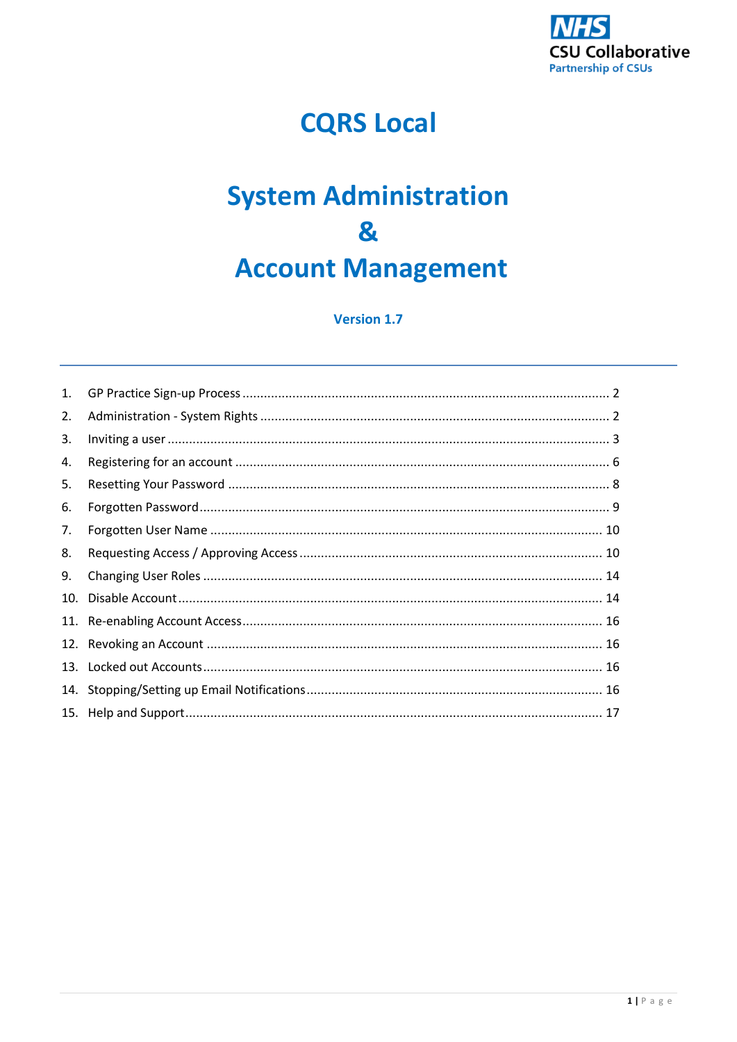

# **CQRS Local**

# **System Administration** 8 **Account Management**

## **Version 1.7**

| 1.  |  |
|-----|--|
| 2.  |  |
| 3.  |  |
| 4.  |  |
| 5.  |  |
| 6.  |  |
| 7.  |  |
| 8.  |  |
| 9.  |  |
| 10. |  |
|     |  |
|     |  |
|     |  |
|     |  |
|     |  |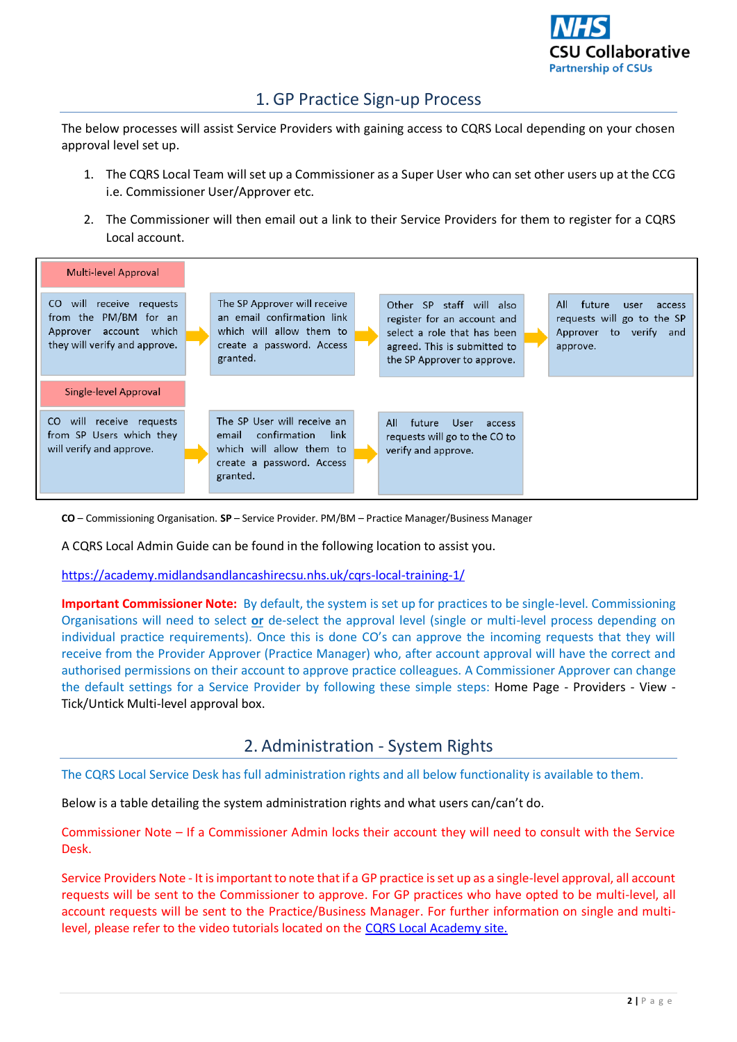

# 1. GP Practice Sign-up Process

<span id="page-1-0"></span>The below processes will assist Service Providers with gaining access to CQRS Local depending on your chosen approval level set up.

- 1. The CQRS Local Team will set up a Commissioner as a Super User who can set other users up at the CCG i.e. Commissioner User/Approver etc.
- 2. The Commissioner will then email out a link to their Service Providers for them to register for a CQRS Local account.



**CO** – Commissioning Organisation. **SP** – Service Provider. PM/BM – Practice Manager/Business Manager

A CQRS Local Admin Guide can be found in the following location to assist you.

<https://academy.midlandsandlancashirecsu.nhs.uk/cqrs-local-training-1/>

**Important Commissioner Note:** By default, the system is set up for practices to be single-level. Commissioning Organisations will need to select **or** de-select the approval level (single or multi-level process depending on individual practice requirements). Once this is done CO's can approve the incoming requests that they will receive from the Provider Approver (Practice Manager) who, after account approval will have the correct and authorised permissions on their account to approve practice colleagues. A Commissioner Approver can change the default settings for a Service Provider by following these simple steps: Home Page - Providers - View - Tick/Untick Multi-level approval box.

## 2. Administration - System Rights

<span id="page-1-1"></span>The CQRS Local Service Desk has full administration rights and all below functionality is available to them.

Below is a table detailing the system administration rights and what users can/can't do.

Commissioner Note – If a Commissioner Admin locks their account they will need to consult with the Service Desk.

Service Providers Note - It isimportant to note that if a GP practice is set up as a single-level approval, all account requests will be sent to the Commissioner to approve. For GP practices who have opted to be multi-level, all account requests will be sent to the Practice/Business Manager. For further information on single and multilevel, please refer to the video tutorials located on the [CQRS Local Academy site.](https://academy.midlandsandlancashirecsu.nhs.uk/cqrs-local-training-1/)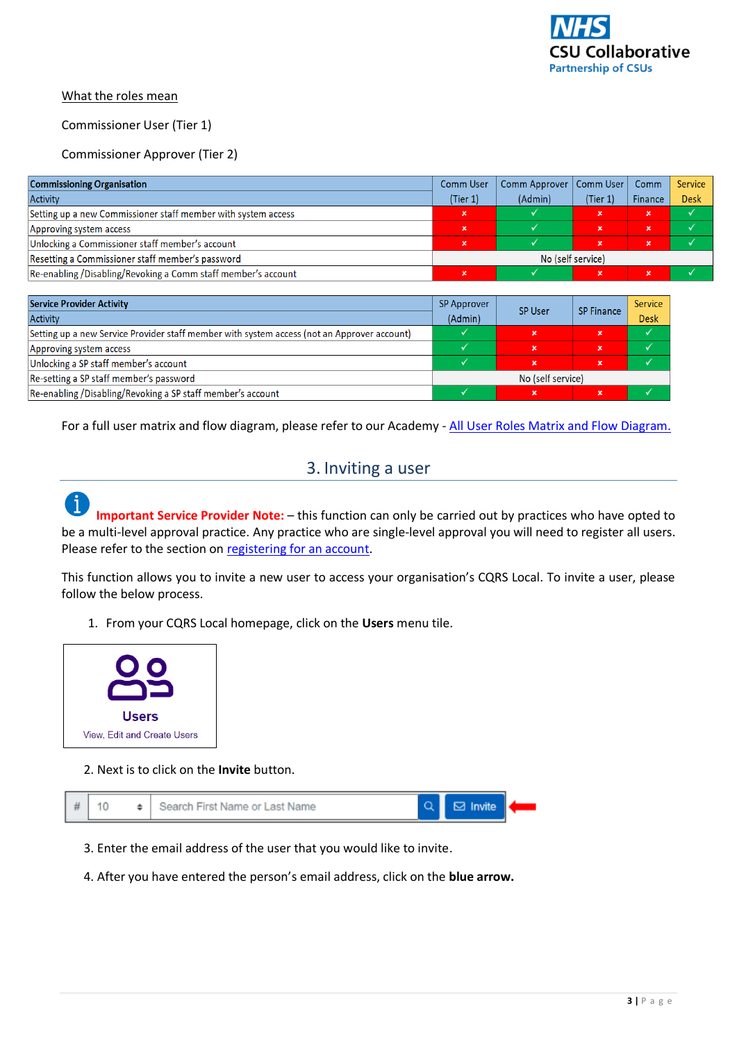

#### What the roles mean

#### Commissioner User (Tier 1)

## Commissioner Approver (Tier 2)

| <b>Commissioning Organisation</b>                             |                   | Comm Approver   Comm User |             | Comm           | Service     |
|---------------------------------------------------------------|-------------------|---------------------------|-------------|----------------|-------------|
| Activity                                                      | (Tier 1)          | (Admin)                   | (Tier 1)    | <b>Finance</b> | <b>Desk</b> |
| Setting up a new Commissioner staff member with system access | $\mathbf x$       |                           | ×           | $\mathbf{x}$   |             |
| Approving system access                                       | $\mathbf x$       |                           | $\mathbf x$ | $\mathbf{x}$   |             |
| Unlocking a Commissioner staff member's account               |                   |                           | $\mathbf x$ | ιx,            |             |
| Resetting a Commissioner staff member's password              | No (self service) |                           |             |                |             |
| Re-enabling /Disabling/Revoking a Comm staff member's account |                   |                           |             | ×              |             |

| <b>Service Provider Activity</b><br><b>SP Approver</b>                                      |                   | <b>SP User</b>            | <b>SP Finance</b> | Service     |
|---------------------------------------------------------------------------------------------|-------------------|---------------------------|-------------------|-------------|
| <b>Activity</b>                                                                             | (Admin)           |                           |                   | <b>Desk</b> |
| Setting up a new Service Provider staff member with system access (not an Approver account) |                   | $\boldsymbol{\mathsf{x}}$ | $\mathbf x$       |             |
| Approving system access                                                                     |                   | $\mathbf x$               | $\mathbf x$       |             |
| Unlocking a SP staff member's account                                                       |                   |                           | $\mathbf x$       |             |
| Re-setting a SP staff member's password                                                     | No (self service) |                           |                   |             |
| Re-enabling /Disabling/Revoking a SP staff member's account                                 |                   | ×                         | $\mathbf x$       |             |

<span id="page-2-0"></span>For a full user matrix and flow diagram, please refer to our Academy - [All User Roles Matrix and Flow Diagram.](https://academy.midlandsandlancashirecsu.nhs.uk/cqrs-local-training-1/)

## 3. Inviting a user

**Important Service Provider Note:** – this function can only be carried out by practices who have opted to be a multi-level approval practice. Any practice who are single-level approval you will need to register all users. Please refer to the section on [registering for an account.](#page-5-0)

This function allows you to invite a new user to access your organisation's CQRS Local. To invite a user, please follow the below process.

1. From your CQRS Local homepage, click on the **Users** menu tile.



## 2. Next is to click on the **Invite** button.

|  | # | 10 | Search First Name or Last Name |  |  |  |
|--|---|----|--------------------------------|--|--|--|
|--|---|----|--------------------------------|--|--|--|

- 3. Enter the email address of the user that you would like to invite.
- 4. After you have entered the person's email address, click on the **blue arrow.**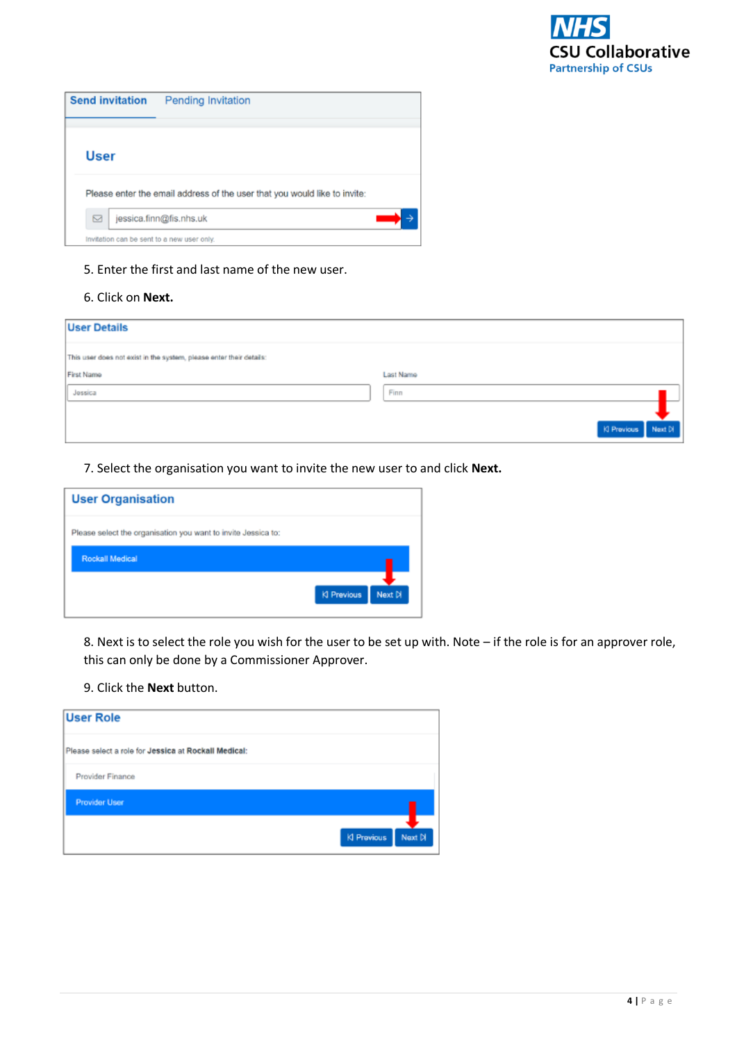

| <b>Send invitation</b><br>Pending Invitation                              |  |  |  |  |
|---------------------------------------------------------------------------|--|--|--|--|
|                                                                           |  |  |  |  |
| User                                                                      |  |  |  |  |
| Please enter the email address of the user that you would like to invite: |  |  |  |  |
| ⊠<br>jessica.finn@fis.nhs.uk                                              |  |  |  |  |
| Invitation can be sent to a new user only.                                |  |  |  |  |

## 5. Enter the first and last name of the new user.

## 6. Click on **Next.**

| <b>User Details</b>                                                 |                     |
|---------------------------------------------------------------------|---------------------|
| This user does not exist in the system, please enter their details: |                     |
| First Name                                                          | Last Name           |
| Jossica                                                             | Finn                |
|                                                                     |                     |
|                                                                     | KI Previous Next Di |

7. Select the organisation you want to invite the new user to and click **Next.**

| <b>User Organisation</b>                                      |                        |
|---------------------------------------------------------------|------------------------|
| Please select the organisation you want to invite Jessica to: |                        |
| Rockall Medical                                               |                        |
|                                                               | KI Previous<br>Next Di |

8. Next is to select the role you wish for the user to be set up with. Note – if the role is for an approver role, this can only be done by a Commissioner Approver.

9. Click the **Next** button.

| <b>User Role</b>                                     |                        |
|------------------------------------------------------|------------------------|
| Please select a role for Jessica at Rockall Medical: |                        |
| Provider Finance                                     |                        |
| <b>Provider User</b>                                 |                        |
|                                                      | Next Di<br>KI Previous |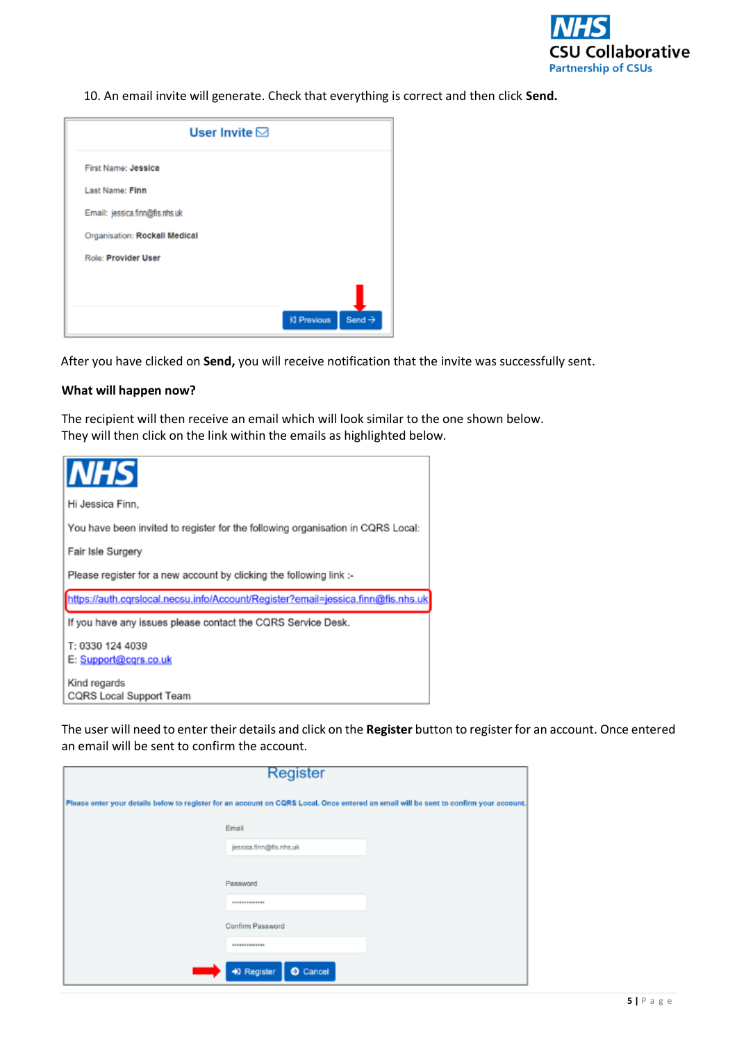

10. An email invite will generate. Check that everything is correct and then click **Send.**

| User Invite $\boxdot$          |                                          |
|--------------------------------|------------------------------------------|
| First Name: Jessica            |                                          |
| Last Name: Finn                |                                          |
| Email: jessica.firm@fis.nhs.uk |                                          |
| Organisation: Rockall Medical  |                                          |
| Role: Provider User            |                                          |
|                                |                                          |
|                                |                                          |
|                                | Send $\rightarrow$<br><b>KI Previous</b> |

After you have clicked on **Send,** you will receive notification that the invite was successfully sent.

#### **What will happen now?**

The recipient will then receive an email which will look similar to the one shown below. They will then click on the link within the emails as highlighted below.



The user will need to enter their details and click on the **Register** button to register for an account. Once entered an email will be sent to confirm the account.

| Register |                           |                                                                                                                                       |  |  |
|----------|---------------------------|---------------------------------------------------------------------------------------------------------------------------------------|--|--|
|          |                           | Please enter your details below to register for an account on CQRS Local. Once entered an email will be sent to confirm your account. |  |  |
|          | Email                     |                                                                                                                                       |  |  |
|          | jessica.finn@fis.nhs.uk   |                                                                                                                                       |  |  |
|          |                           |                                                                                                                                       |  |  |
|          | Password                  |                                                                                                                                       |  |  |
|          | **************            |                                                                                                                                       |  |  |
|          | Confirm Password          |                                                                                                                                       |  |  |
|          |                           |                                                                                                                                       |  |  |
|          | $Q$ Cancel<br>+0 Register |                                                                                                                                       |  |  |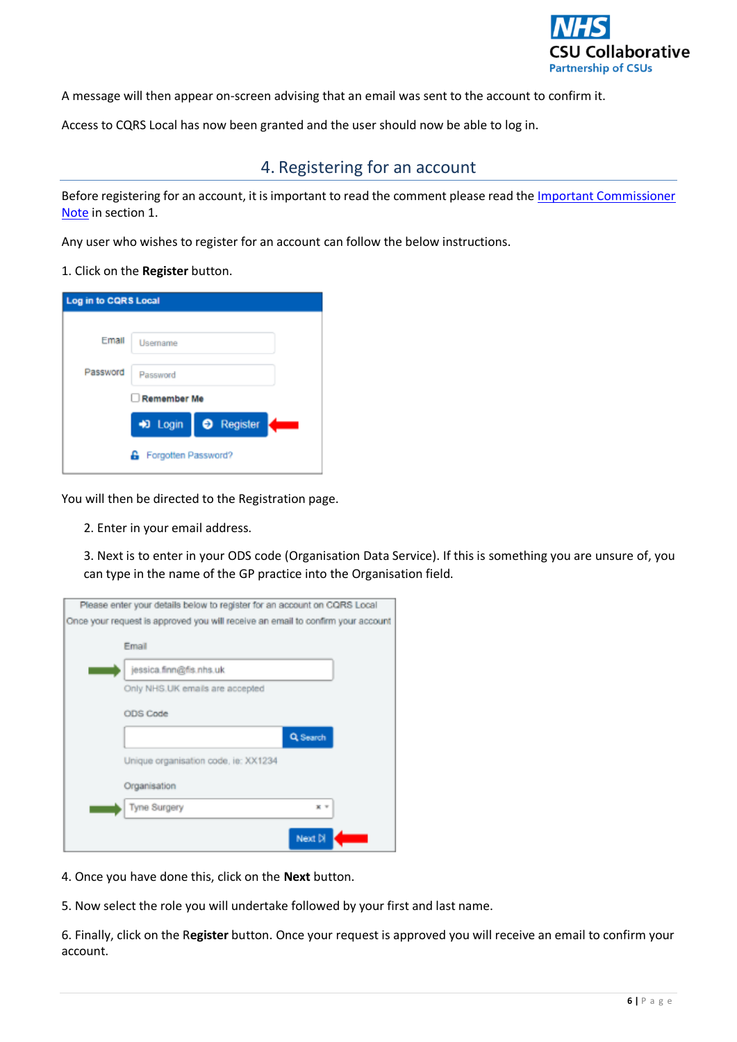

A message will then appear on-screen advising that an email was sent to the account to confirm it.

<span id="page-5-0"></span>Access to CQRS Local has now been granted and the user should now be able to log in.

# 4. Registering for an account

Before registering for an account, it is important to read the comment please read the *Important Commissioner* Note in section 1.

Any user who wishes to register for an account can follow the below instructions.

#### 1. Click on the **Register** button.

| <b>Log in to CQRS Local</b> |                          |
|-----------------------------|--------------------------|
| Email                       | Usemame                  |
| Password                    | Password                 |
|                             | Remember Me              |
|                             | +0 Login<br>Register     |
|                             | Forgotten Password?<br>a |

You will then be directed to the Registration page.

2. Enter in your email address.

3. Next is to enter in your ODS code (Organisation Data Service). If this is something you are unsure of, you can type in the name of the GP practice into the Organisation field.

| Please enter your details below to register for an account on CQRS Local        |          |  |
|---------------------------------------------------------------------------------|----------|--|
| Once your request is approved you will receive an email to confirm your account |          |  |
| Email                                                                           |          |  |
| jessica.finn@fis.nhs.uk                                                         |          |  |
| Only NHS.UK emails are accepted                                                 |          |  |
| ODS Code                                                                        |          |  |
|                                                                                 | Q Search |  |
| Unique organisation code, ie: XX1234                                            |          |  |
| Organisation                                                                    |          |  |
| Tyne Surgery                                                                    |          |  |
|                                                                                 | Next DI  |  |

- 4. Once you have done this, click on the **Next** button.
- 5. Now select the role you will undertake followed by your first and last name.

6. Finally, click on the R**egister** button. Once your request is approved you will receive an email to confirm your account.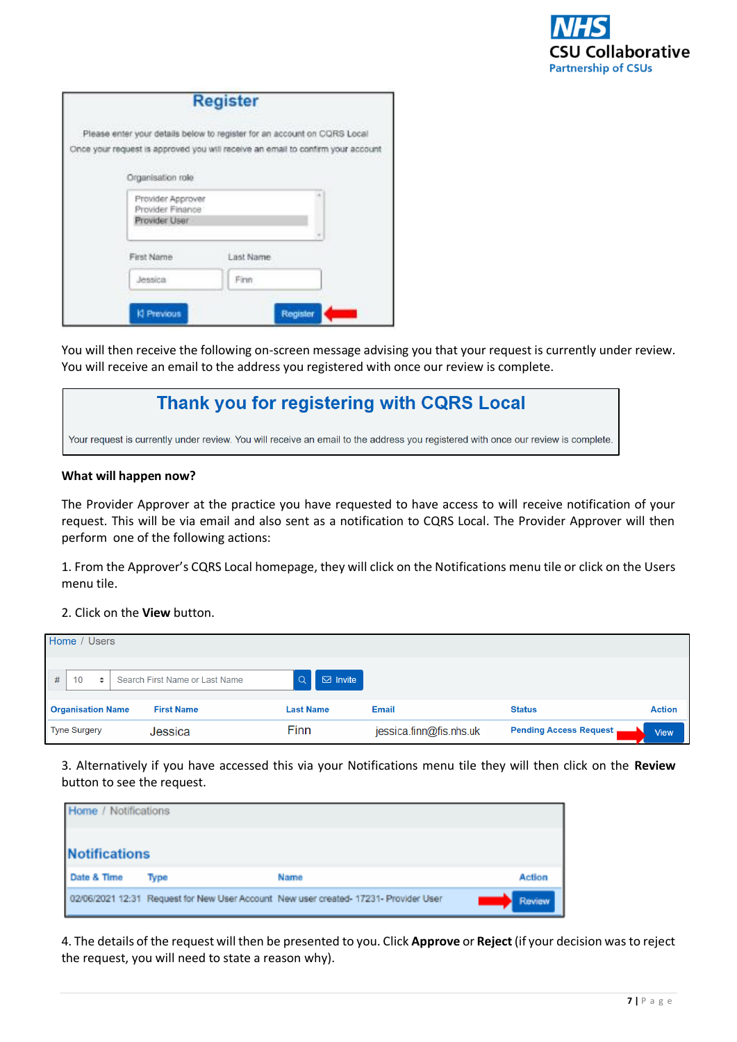

|                                                        | <b>Register</b>                                                                 |          |
|--------------------------------------------------------|---------------------------------------------------------------------------------|----------|
|                                                        | Please enter your details below to register for an account on CQRS Local        |          |
| Organisation role                                      | Once your request is approved you will receive an email to confirm your account |          |
| Provider Approver<br>Provider Finance<br>Provider User |                                                                                 |          |
| First Name                                             | Last Name                                                                       |          |
| Jessica                                                | Finn:                                                                           |          |
| <b>KI Previous</b>                                     |                                                                                 | Register |

You will then receive the following on-screen message advising you that your request is currently under review. You will receive an email to the address you registered with once our review is complete.

# Thank you for registering with CQRS Local

Your request is currently under review. You will receive an email to the address you registered with once our review is complete.

#### **What will happen now?**

The Provider Approver at the practice you have requested to have access to will receive notification of your request. This will be via email and also sent as a notification to CQRS Local. The Provider Approver will then perform one of the following actions:

1. From the Approver's CQRS Local homepage, they will click on the Notifications menu tile or click on the Users menu tile.

## 2. Click on the **View** button.

| Home / Users             |                                |                  |                         |                               |               |
|--------------------------|--------------------------------|------------------|-------------------------|-------------------------------|---------------|
| 10<br>#<br>٠             | Search First Name or Last Name | $\boxdot$ Invite |                         |                               |               |
| <b>Organisation Name</b> | <b>First Name</b>              | <b>Last Name</b> | Email                   | <b>Status</b>                 | <b>Action</b> |
| <b>Tyne Surgery</b>      | Jessica                        | Finn             | jessica.finn@fis.nhs.uk | <b>Pending Access Request</b> | <b>View</b>   |

3. Alternatively if you have accessed this via your Notifications menu tile they will then click on the **Review**  button to see the request.

| <b>Home / Notifications</b> |      |                                                                                      |               |
|-----------------------------|------|--------------------------------------------------------------------------------------|---------------|
| <b>Notifications</b>        |      |                                                                                      |               |
| Date & Time                 | Type | Name                                                                                 | <b>Action</b> |
|                             |      | 02/06/2021 12:31 Request for New User Account New user created- 17231- Provider User | Review        |

4. The details of the request will then be presented to you. Click **Approve** or **Reject** (if your decision was to reject the request, you will need to state a reason why).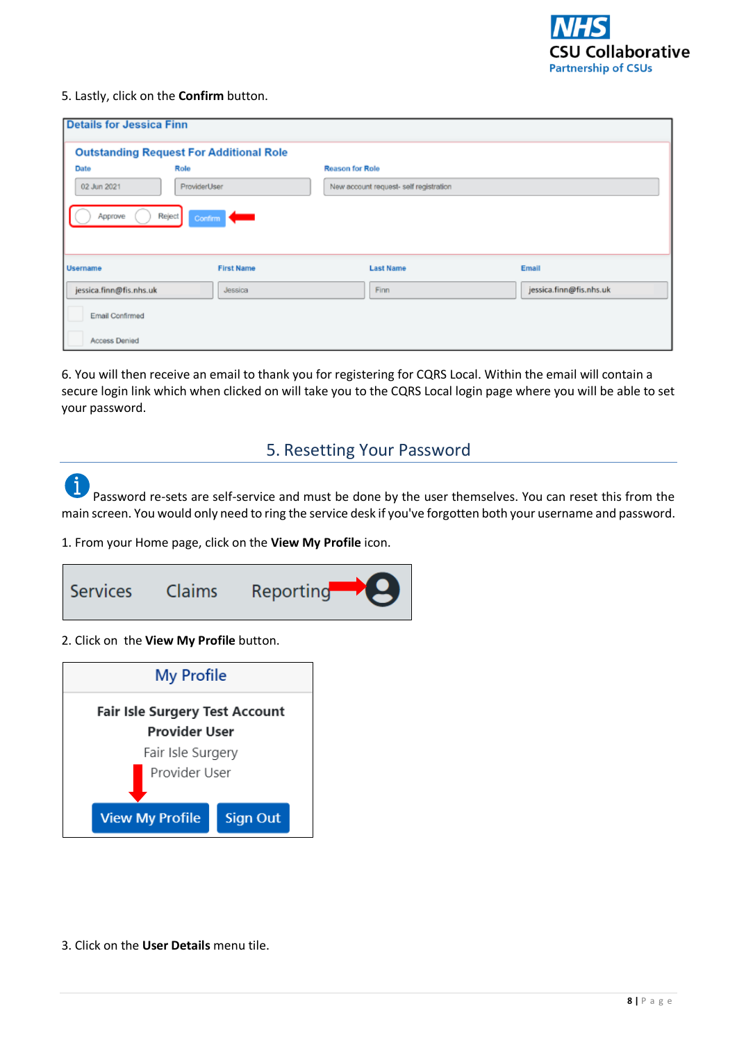

#### 5. Lastly, click on the **Confirm** button.

| <b>Details for Jessica Finn</b>                                                                            |                                                |                                        |                         |  |  |
|------------------------------------------------------------------------------------------------------------|------------------------------------------------|----------------------------------------|-------------------------|--|--|
|                                                                                                            | <b>Outstanding Request For Additional Role</b> |                                        |                         |  |  |
| Date                                                                                                       | Role                                           | <b>Reason for Role</b>                 |                         |  |  |
| 02 Jun 2021                                                                                                | ProviderUser                                   | New account request- self registration |                         |  |  |
| Approve<br>Reject<br>Confirm <b>C</b><br><b>First Name</b><br><b>Last Name</b><br>Email<br><b>Username</b> |                                                |                                        |                         |  |  |
| jessica.finn@fis.nhs.uk                                                                                    | Jessica                                        | Finn                                   | jessica.finn@fis.nhs.uk |  |  |
| Email Confirmed                                                                                            |                                                |                                        |                         |  |  |
| Access Denied                                                                                              |                                                |                                        |                         |  |  |

6. You will then receive an email to thank you for registering for CQRS Local. Within the email will contain a secure login link which when clicked on will take you to the CQRS Local login page where you will be able to set your password.

## 5. Resetting Your Password

<span id="page-7-0"></span> $\mathbf i$ Password re-sets are self-service and must be done by the user themselves. You can reset this from the main screen. You would only need to ring the service desk if you've forgotten both your username and password.

1. From your Home page, click on the **View My Profile** icon.



#### 2. Click on the **View My Profile** button.



3. Click on the **User Details** menu tile.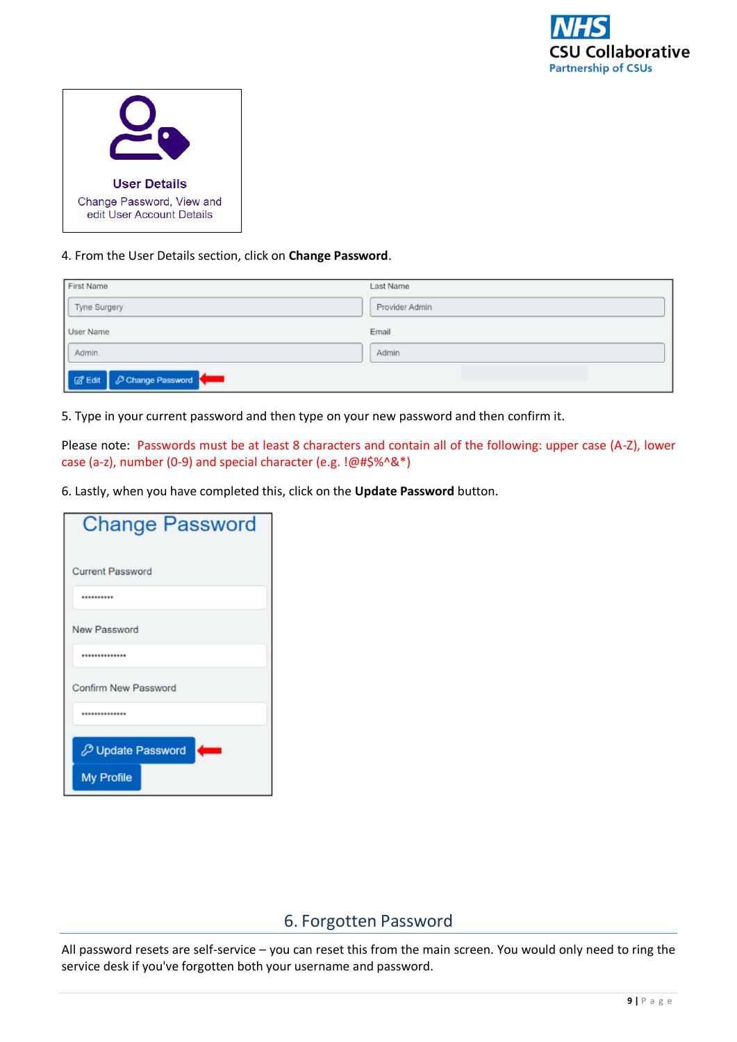

| <b>User Details</b>                                    |
|--------------------------------------------------------|
| Change Password, View and<br>edit User Account Details |

4. From the User Details section, click on **Change Password**.

| First Name                 | Last Name      |
|----------------------------|----------------|
| Tyne Surgery               | Provider Admin |
| User Name                  | Email          |
| Admin.                     | Admin.         |
| B Edit   P Change Password |                |

5. Type in your current password and then type on your new password and then confirm it.

Please note: Passwords must be at least 8 characters and contain all of the following: upper case (A-Z), lower case (a-z), number (0-9) and special character (e.g. !@#\$%^&\*)

6. Lastly, when you have completed this, click on the **Update Password** button.

| <b>Change Password</b>   |
|--------------------------|
| <b>Current Password</b>  |
|                          |
| New Password             |
| **************           |
| Confirm New Password     |
|                          |
| <b>D</b> Update Password |
| <b>My Profile</b>        |

## 6. Forgotten Password

<span id="page-8-0"></span>All password resets are self-service – you can reset this from the main screen. You would only need to ring the service desk if you've forgotten both your username and password.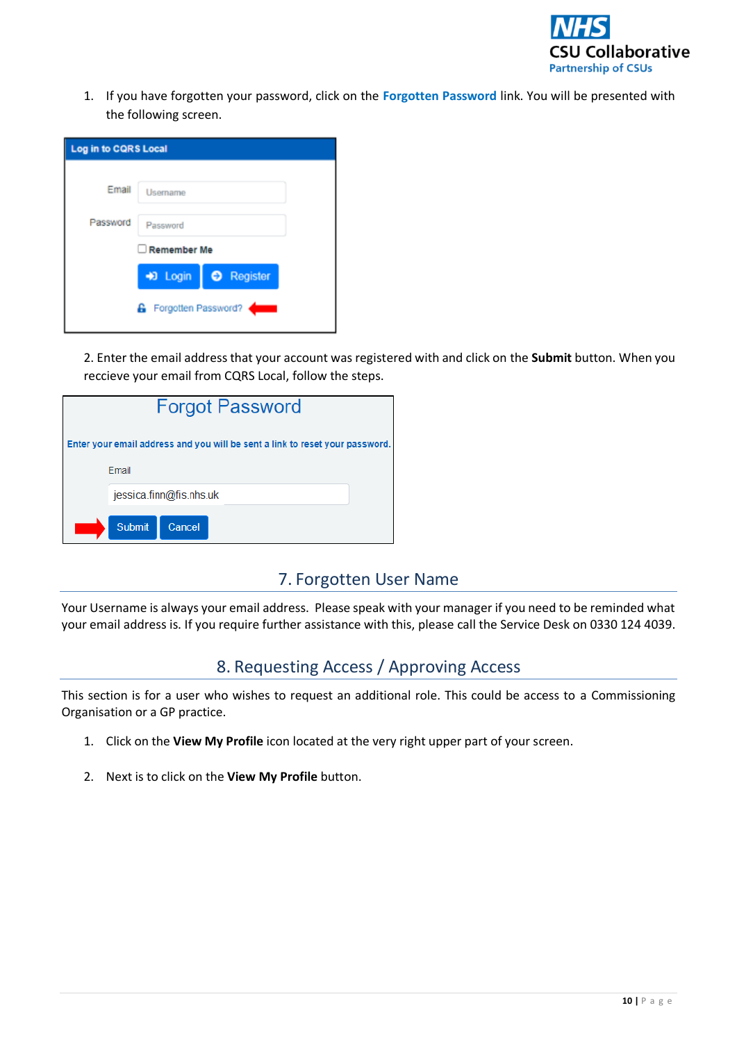

1. If you have forgotten your password, click on the **Forgotten Password** link. You will be presented with the following screen.

| Log in to CQRS Local |                       |  |
|----------------------|-----------------------|--|
| Email                | Username              |  |
| Password             | Password              |  |
| Remember Me          |                       |  |
|                      | D Login   O Register  |  |
|                      | 6 Forgotten Password? |  |

2. Enter the email address that your account was registered with and click on the **Submit** button. When you reccieve your email from CQRS Local, follow the steps.

| <b>Forgot Password</b> |                                                                              |  |  |
|------------------------|------------------------------------------------------------------------------|--|--|
|                        | Enter your email address and you will be sent a link to reset your password. |  |  |
|                        | Email                                                                        |  |  |
|                        | jessica.finn@fis.nhs.uk                                                      |  |  |
|                        | <b>Submit</b><br>Cancel                                                      |  |  |

# 7. Forgotten User Name

<span id="page-9-0"></span>Your Username is always your email address. Please speak with your manager if you need to be reminded what your email address is. If you require further assistance with this, please call the Service Desk on 0330 124 4039.

# 8. Requesting Access / Approving Access

<span id="page-9-1"></span>This section is for a user who wishes to request an additional role. This could be access to a Commissioning Organisation or a GP practice.

- 1. Click on the **View My Profile** icon located at the very right upper part of your screen.
- 2. Next is to click on the **View My Profile** button.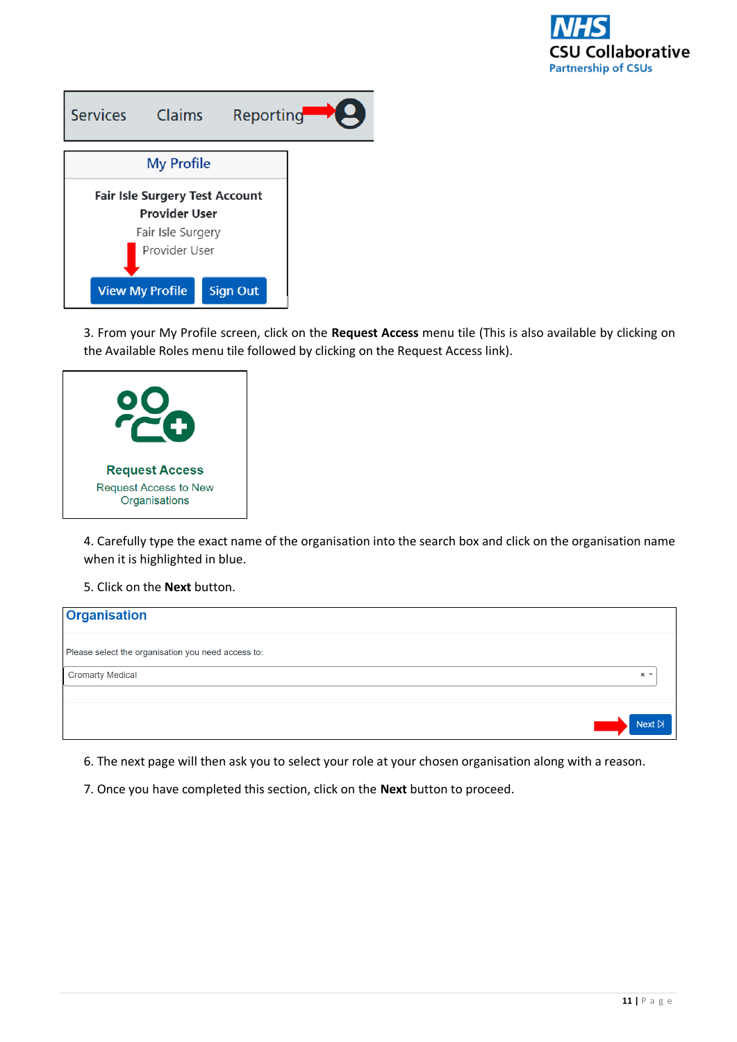

| <b>Services</b>                | <b>Claims</b>          | Reporting       |  |
|--------------------------------|------------------------|-----------------|--|
|                                | <b>My Profile</b>      |                 |  |
| Fair Isle Surgery Test Account |                        |                 |  |
| <b>Provider User</b>           |                        |                 |  |
| Fair Isle Surgery              |                        |                 |  |
| Provider User                  |                        |                 |  |
|                                | <b>View My Profile</b> | <b>Sign Out</b> |  |

3. From your My Profile screen, click on the **Request Access** menu tile (This is also available by clicking on the Available Roles menu tile followed by clicking on the Request Access link).



4. Carefully type the exact name of the organisation into the search box and click on the organisation name when it is highlighted in blue.

5. Click on the **Next** button.



6. The next page will then ask you to select your role at your chosen organisation along with a reason.

7. Once you have completed this section, click on the **Next** button to proceed.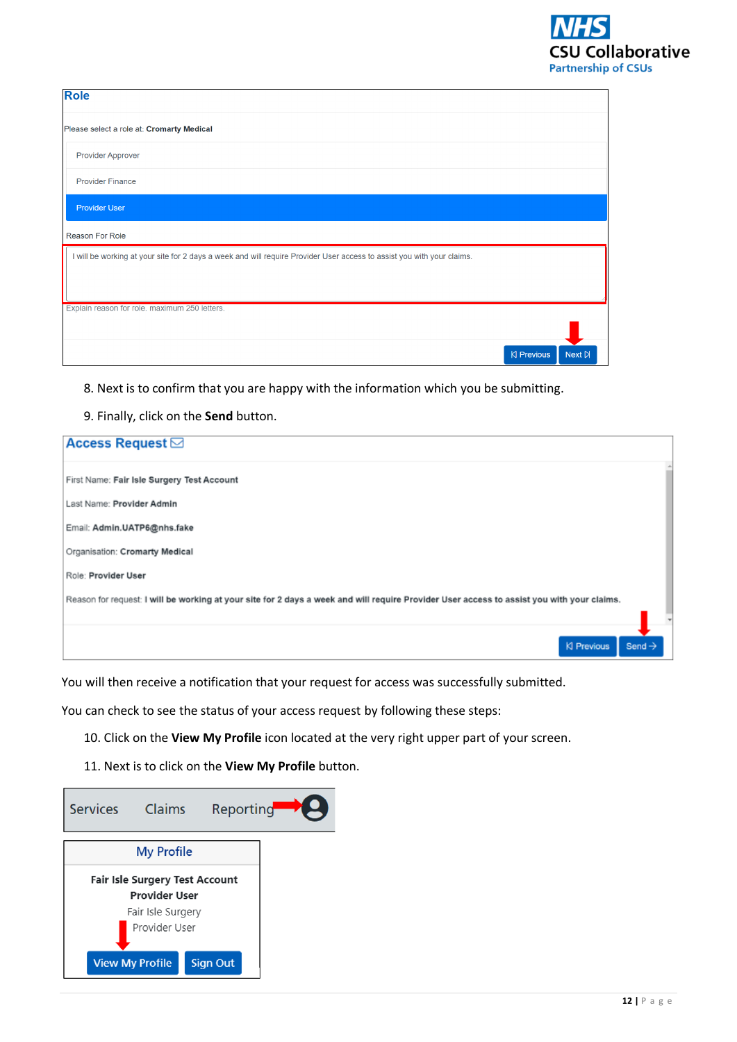

| <b>Role</b>                                                                                                            |            |               |
|------------------------------------------------------------------------------------------------------------------------|------------|---------------|
| Please select a role at: Cromarty Medical                                                                              |            |               |
| <b>Provider Approver</b>                                                                                               |            |               |
| <b>Provider Finance</b>                                                                                                |            |               |
| <b>Provider User</b>                                                                                                   |            |               |
| Reason For Role                                                                                                        |            |               |
| I will be working at your site for 2 days a week and will require Provider User access to assist you with your claims. |            |               |
| Explain reason for role. maximum 250 letters.                                                                          |            |               |
|                                                                                                                        |            |               |
|                                                                                                                        | K Previous | Next <b>D</b> |

8. Next is to confirm that you are happy with the information which you be submitting.

9. Finally, click on the **Send** button.

| <b>Access Request ⊠</b>                                                                                                                    |                    |
|--------------------------------------------------------------------------------------------------------------------------------------------|--------------------|
| First Name: Fair Isle Surgery Test Account                                                                                                 |                    |
| Last Name: Provider Admin                                                                                                                  |                    |
| Email: Admin.UATP6@nhs.fake                                                                                                                |                    |
| Organisation: Cromarty Medical                                                                                                             |                    |
| Role: Provider User                                                                                                                        |                    |
| Reason for request: I will be working at your site for 2 days a week and will require Provider User access to assist you with your claims. |                    |
|                                                                                                                                            |                    |
| K Previous                                                                                                                                 | Send $\rightarrow$ |

You will then receive a notification that your request for access was successfully submitted.

You can check to see the status of your access request by following these steps:

10. Click on the **View My Profile** icon located at the very right upper part of your screen.

11. Next is to click on the **View My Profile** button.

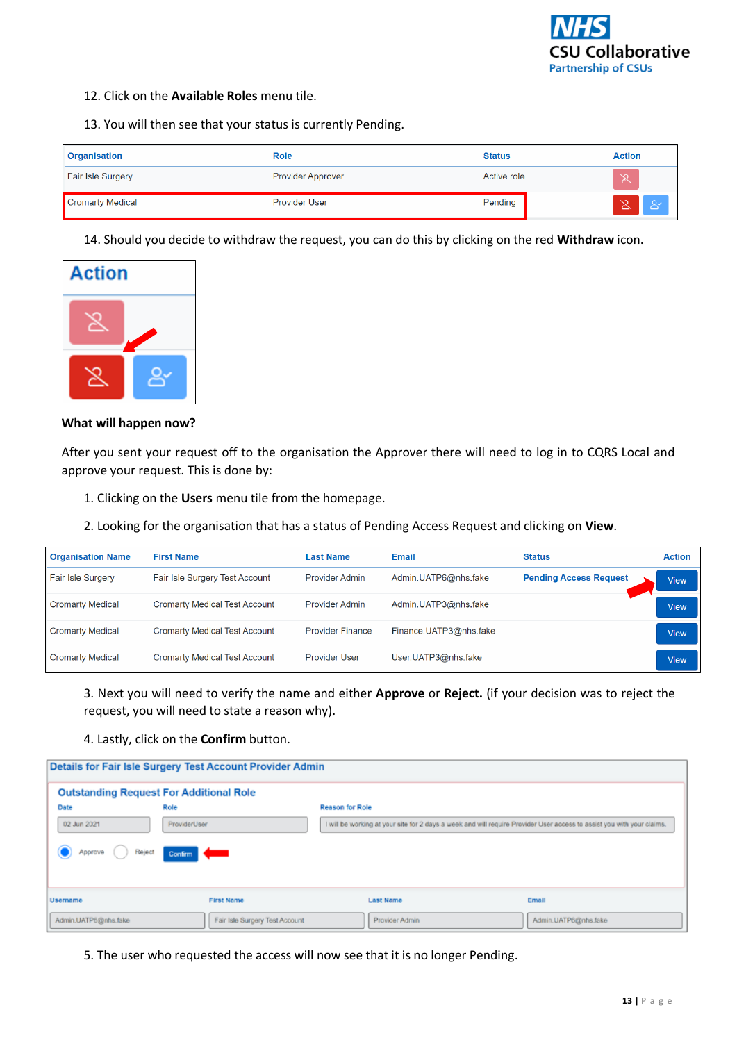

- 12. Click on the **Available Roles** menu tile.
- 13. You will then see that your status is currently Pending.

| Organisation             | Role                     | <b>Status</b> | <b>Action</b>             |
|--------------------------|--------------------------|---------------|---------------------------|
| <b>Fair Isle Surgery</b> | <b>Provider Approver</b> | Active role   | 区                         |
| Cromarty Medical         | <b>Provider User</b>     | Pending       | $\infty$<br><b>B</b><br>◬ |

14. Should you decide to withdraw the request, you can do this by clicking on the red **Withdraw** icon.



**What will happen now?** 

After you sent your request off to the organisation the Approver there will need to log in to CQRS Local and approve your request. This is done by:

- 1. Clicking on the **Users** menu tile from the homepage.
- 2. Looking for the organisation that has a status of Pending Access Request and clicking on **View**.

| <b>Organisation Name</b> | <b>First Name</b>                    | <b>Last Name</b>        | <b>Email</b>           | <b>Status</b>                 | <b>Action</b> |
|--------------------------|--------------------------------------|-------------------------|------------------------|-------------------------------|---------------|
| <b>Fair Isle Surgery</b> | Fair Isle Surgery Test Account       | Provider Admin          | Admin.UATP6@nhs.fake   | <b>Pending Access Request</b> | <b>View</b>   |
| <b>Cromarty Medical</b>  | <b>Cromarty Medical Test Account</b> | Provider Admin          | Admin.UATP3@nhs.fake   |                               | <b>View</b>   |
| <b>Cromarty Medical</b>  | <b>Cromarty Medical Test Account</b> | <b>Provider Finance</b> | Finance.UATP3@nhs.fake |                               | <b>View</b>   |
| <b>Cromarty Medical</b>  | <b>Cromarty Medical Test Account</b> | <b>Provider User</b>    | User.UATP3@nhs.fake    |                               | <b>View</b>   |

3. Next you will need to verify the name and either **Approve** or **Reject.** (if your decision was to reject the request, you will need to state a reason why).

## 4. Lastly, click on the **Confirm** button.

| Details for Fair Isle Surgery Test Account Provider Admin |                                                                                                                                        |                  |                      |  |  |  |
|-----------------------------------------------------------|----------------------------------------------------------------------------------------------------------------------------------------|------------------|----------------------|--|--|--|
| <b>Outstanding Request For Additional Role</b>            |                                                                                                                                        |                  |                      |  |  |  |
| Date                                                      | Role<br><b>Reason for Role</b>                                                                                                         |                  |                      |  |  |  |
| 02 Jun 2021                                               | ProviderUser<br>I will be working at your site for 2 days a week and will require Provider User access to assist you with your claims. |                  |                      |  |  |  |
| Reject<br>Confirm <b>Confirm</b><br>Approve               |                                                                                                                                        |                  |                      |  |  |  |
| <b>Username</b>                                           | <b>First Name</b>                                                                                                                      | <b>Last Name</b> | Email                |  |  |  |
| Admin.UATP6@nhs.fake                                      | Fair Isle Surgery Test Account                                                                                                         | Provider Admin   | Admin.UATP6@nhs.fake |  |  |  |

5. The user who requested the access will now see that it is no longer Pending.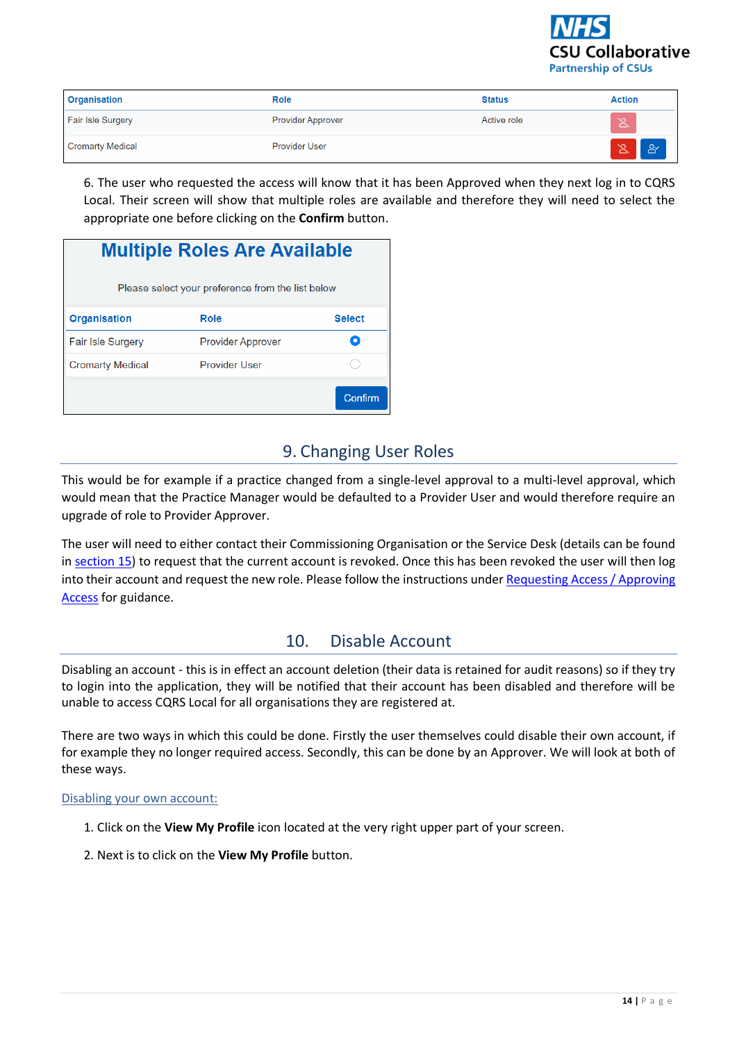

| <b>Organisation</b>      | Role                     | <b>Status</b> | <b>Action</b>     |
|--------------------------|--------------------------|---------------|-------------------|
| <b>Fair Isle Surgery</b> | <b>Provider Approver</b> | Active role   | $\infty$<br>◬     |
| <b>Cromarty Medical</b>  | <b>Provider User</b>     |               | $\sim$<br>BY<br>◠ |

6. The user who requested the access will know that it has been Approved when they next log in to CQRS Local. Their screen will show that multiple roles are available and therefore they will need to select the appropriate one before clicking on the **Confirm** button.

| <b>Multiple Roles Are Available</b>               |                          |               |  |  |
|---------------------------------------------------|--------------------------|---------------|--|--|
| Please select your preference from the list below |                          |               |  |  |
| <b>Organisation</b>                               | Role                     | <b>Select</b> |  |  |
| <b>Fair Isle Surgery</b>                          | <b>Provider Approver</b> |               |  |  |
| <b>Cromarty Medical</b>                           | Provider User            |               |  |  |
|                                                   |                          | Confirm       |  |  |

# 9. Changing User Roles

<span id="page-13-0"></span>This would be for example if a practice changed from a single-level approval to a multi-level approval, which would mean that the Practice Manager would be defaulted to a Provider User and would therefore require an upgrade of role to Provider Approver.

The user will need to either contact their Commissioning Organisation or the Service Desk (details can be found i[n section 15\)](#page-16-0) to request that the current account is revoked. Once this has been revoked the user will then log into their account and request the new role. Please follow the instructions under [Requesting Access / Approving](#page-9-1)  [Access](#page-9-1) for guidance.

# 10. Disable Account

<span id="page-13-1"></span>Disabling an account - this is in effect an account deletion (their data is retained for audit reasons) so if they try to login into the application, they will be notified that their account has been disabled and therefore will be unable to access CQRS Local for all organisations they are registered at.

There are two ways in which this could be done. Firstly the user themselves could disable their own account, if for example they no longer required access. Secondly, this can be done by an Approver. We will look at both of these ways.

## Disabling your own account:

- 1. Click on the **View My Profile** icon located at the very right upper part of your screen.
- 2. Next is to click on the **View My Profile** button.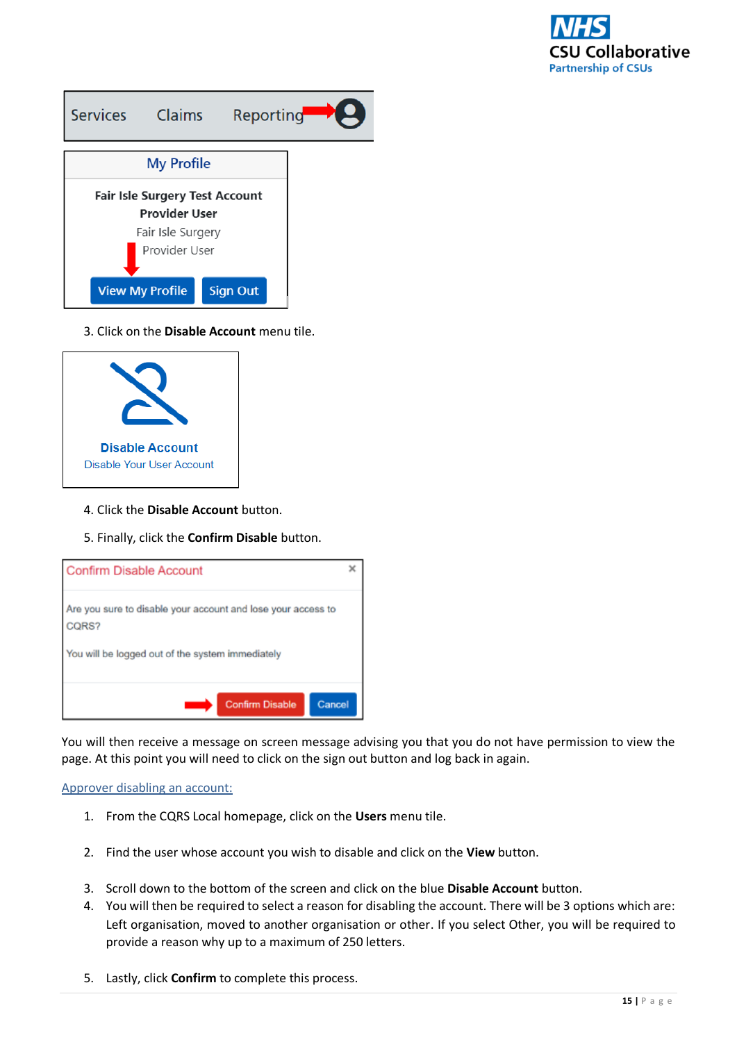

| <b>Services</b>                                               | <b>Claims</b>          | Reporting       |  |
|---------------------------------------------------------------|------------------------|-----------------|--|
|                                                               | <b>My Profile</b>      |                 |  |
| <b>Fair Isle Surgery Test Account</b><br><b>Provider User</b> |                        |                 |  |
| Fair Isle Surgery                                             |                        |                 |  |
| Provider User                                                 |                        |                 |  |
|                                                               | <b>View My Profile</b> | <b>Sign Out</b> |  |

3. Click on the **Disable Account** menu tile.



- 4. Click the **Disable Account** button.
- 5. Finally, click the **Confirm Disable** button.



You will then receive a message on screen message advising you that you do not have permission to view the page. At this point you will need to click on the sign out button and log back in again.

## Approver disabling an account:

- 1. From the CQRS Local homepage, click on the **Users** menu tile.
- 2. Find the user whose account you wish to disable and click on the **View** button.
- 3. Scroll down to the bottom of the screen and click on the blue **Disable Account** button.
- 4. You will then be required to select a reason for disabling the account. There will be 3 options which are: Left organisation, moved to another organisation or other. If you select Other, you will be required to provide a reason why up to a maximum of 250 letters.
- 5. Lastly, click **Confirm** to complete this process.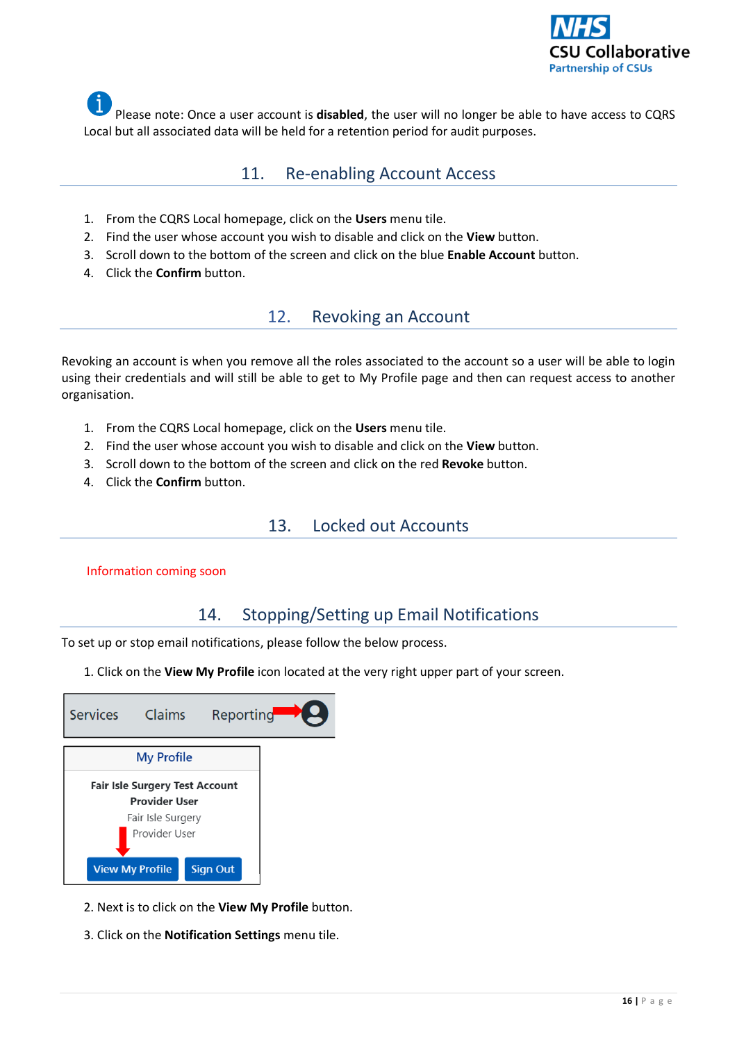

<span id="page-15-0"></span>Please note: Once a user account is **disabled**, the user will no longer be able to have access to CQRS Local but all associated data will be held for a retention period for audit purposes.

## 11. Re-enabling Account Access

- 1. From the CQRS Local homepage, click on the **Users** menu tile.
- 2. Find the user whose account you wish to disable and click on the **View** button.
- 3. Scroll down to the bottom of the screen and click on the blue **Enable Account** button.
- <span id="page-15-1"></span>4. Click the **Confirm** button.

# 12. Revoking an Account

Revoking an account is when you remove all the roles associated to the account so a user will be able to login using their credentials and will still be able to get to My Profile page and then can request access to another organisation.

- 1. From the CQRS Local homepage, click on the **Users** menu tile.
- 2. Find the user whose account you wish to disable and click on the **View** button.
- 3. Scroll down to the bottom of the screen and click on the red **Revoke** button.
- <span id="page-15-2"></span>4. Click the **Confirm** button.

## 13. Locked out Accounts

## <span id="page-15-3"></span>Information coming soon

## 14. Stopping/Setting up Email Notifications

To set up or stop email notifications, please follow the below process.

1. Click on the **View My Profile** icon located at the very right upper part of your screen.

| <b>Services</b>                | <b>Claims</b>          | Reporting       |  |
|--------------------------------|------------------------|-----------------|--|
|                                | <b>My Profile</b>      |                 |  |
| Fair Isle Surgery Test Account |                        |                 |  |
| <b>Provider User</b>           |                        |                 |  |
| Fair Isle Surgery              |                        |                 |  |
| Provider User                  |                        |                 |  |
|                                | <b>View My Profile</b> | <b>Sign Out</b> |  |

- 2. Next is to click on the **View My Profile** button.
- 3. Click on the **Notification Settings** menu tile.